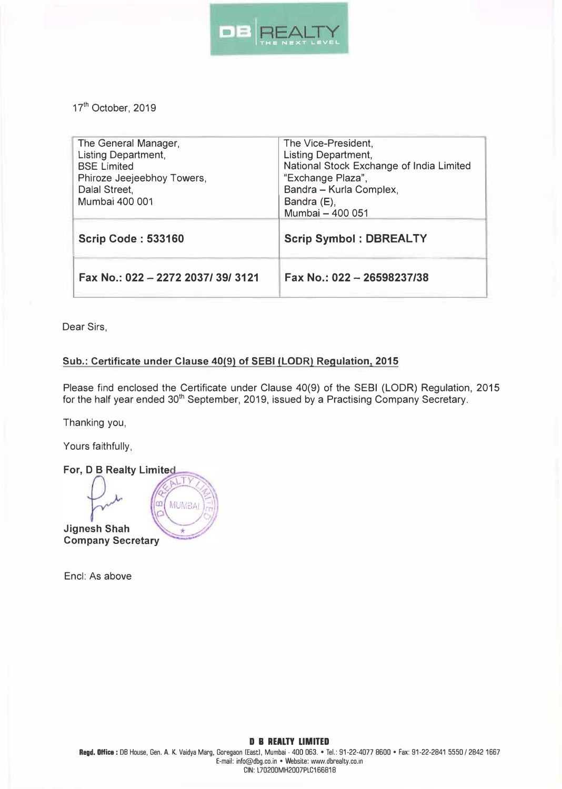

17<sup>th</sup> October, 2019

| The General Manager,<br><b>Listing Department,</b><br><b>BSE Limited</b><br>Phiroze Jeejeebhoy Towers,<br>Dalal Street,<br>Mumbai 400 001 | The Vice-President,<br><b>Listing Department,</b><br>National Stock Exchange of India Limited<br>"Exchange Plaza",<br>Bandra - Kurla Complex,<br>Bandra (E), |
|-------------------------------------------------------------------------------------------------------------------------------------------|--------------------------------------------------------------------------------------------------------------------------------------------------------------|
|                                                                                                                                           | Mumbai - 400 051                                                                                                                                             |
| <b>Scrip Code: 533160</b>                                                                                                                 | <b>Scrip Symbol: DBREALTY</b>                                                                                                                                |
| Fax No.: 022 - 2272 2037/39/3121                                                                                                          | Fax No.: 022 - 26598237/38                                                                                                                                   |

Dear Sirs,

## **Sub.: Certificate under Clause 40(9) of SEBI (LODR) Regulation, 2015**

Please find enclosed the Certificate under Clause 40(9) of the SEBI (LODR) Regulation, 2015 for the half year ended 301h September, 2019, issued by a Practising Company Secretary.

Thanking you,

Yours faithfully,

For, D B Realty Limited TΥ œ **MUMBAI Jignesh Shah Company Secretary** 

Encl: As above

## **D B REALTY LIMITED**

Regd. Office : DB House, Gen. A. K. Vaidya Marg, Goregaon (East), Mumbai - 400 063. • Tel.: 91-22-4077 8600 • Fax: 91-22-2841 5550 / 2842 1667 E-mail: info@dbg.co.in • Website: www.dbrealty.co.m CIN: L70200MH2007PLC166818